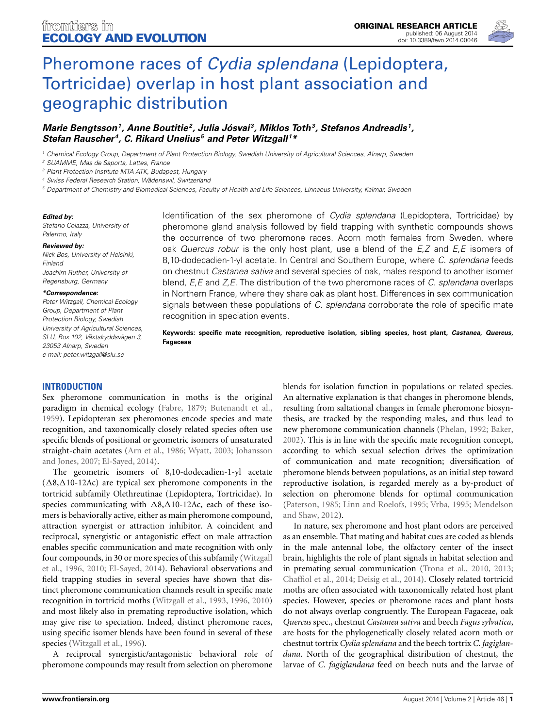

# Pheromone races of *Cydia splendana* (Lepidoptera, [Tortricidae\) overlap in host plant association and](http://www.frontiersin.org/journal/10.3389/fevo.2014.00046/abstract) geographic distribution

*[Marie Bengtsson](http://community.frontiersin.org/people/u/147868)1, [Anne Boutitie](http://community.frontiersin.org/people/u/167073)2, [Julia Jósvai](http://community.frontiersin.org/people/u/174770) 3, [Miklos Toth3](http://community.frontiersin.org/people/u/28681), [Stefanos Andreadis](http://community.frontiersin.org/people/u/174154) 1, Stefan Rauscher 4, [C. Rikard Unelius](http://community.frontiersin.org/people/u/157941) <sup>5</sup> and [Peter Witzgall](http://community.frontiersin.org/people/u/103246) <sup>1</sup> \**

*<sup>1</sup> Chemical Ecology Group, Department of Plant Protection Biology, Swedish University of Agricultural Sciences, Alnarp, Sweden*

*<sup>2</sup> SUAMME, Mas de Saporta, Lattes, France*

*<sup>3</sup> Plant Protection Institute MTA ATK, Budapest, Hungary*

*<sup>4</sup> Swiss Federal Research Station, Wädenswil, Switzerland*

*<sup>5</sup> Department of Chemistry and Biomedical Sciences, Faculty of Health and Life Sciences, Linnaeus University, Kalmar, Sweden*

#### *Edited by:*

*Stefano Colazza, University of Palermo, Italy*

#### *Reviewed by:*

*Nick Bos, University of Helsinki, Finland Joachim Ruther, University of Regensburg, Germany*

#### *\*Correspondence:*

*Peter Witzgall, Chemical Ecology Group, Department of Plant Protection Biology, Swedish University of Agricultural Sciences, SLU, Box 102, Växtskyddsvägen 3, 23053 Alnarp, Sweden e-mail: [peter.witzgall@slu.se](mailto:peter.witzgall@slu.se)*

Identification of the sex pheromone of *Cydia splendana* (Lepidoptera, Tortricidae) by pheromone gland analysis followed by field trapping with synthetic compounds shows the occurrence of two pheromone races. Acorn moth females from Sweden, where oak *Quercus robur* is the only host plant, use a blend of the *E*,*Z* and *E*,*E* isomers of 8,10-dodecadien-1-yl acetate. In Central and Southern Europe, where *C. splendana* feeds on chestnut *Castanea sativa* and several species of oak, males respond to another isomer blend, *E*,*E* and *Z*,*E*. The distribution of the two pheromone races of *C. splendana* overlaps in Northern France, where they share oak as plant host. Differences in sex communication signals between these populations of *C. splendana* corroborate the role of specific mate recognition in speciation events.

**Keywords: specific mate recognition, reproductive isolation, sibling species, host plant,** *Castanea***,** *Quercus***, Fagaceae**

# **INTRODUCTION**

Sex pheromone communication in moths is the original paradigm in chemical ecology [\(Fabre](#page-5-0), [1879;](#page-5-0) [Butenandt et al.,](#page-4-0) [1959](#page-4-0)). Lepidopteran sex pheromones encode species and mate recognition, and taxonomically closely related species often use specific blends of positional or geometric isomers of unsaturated straight-c[hain acetates](#page-5-2) [\(Arn et al.](#page-4-1)[,](#page-5-2) [1986;](#page-4-1) [Wyatt](#page-5-1)[,](#page-5-2) [2003;](#page-5-1) Johansson and Jones, [2007;](#page-5-2) [El-Sayed](#page-5-3), [2014\)](#page-5-3).

The geometric isomers of 8,10-dodecadien-1-yl acetate  $(\Delta 8, \Delta 10$ -12Ac) are typical sex pheromone components in the tortricid subfamily Olethreutinae (Lepidoptera, Tortricidae). In species communicating with  $\Delta 8, \Delta 10$ -12Ac, each of these isomers is behaviorally active, either as main pheromone compound, attraction synergist or attraction inhibitor. A coincident and reciprocal, synergistic or antagonistic effect on male attraction enables specific communication and mate recognition with only four [compounds, in 30 or more species of this subfamily \(](#page-5-4)Witzgall et al., [1996,](#page-5-4) [2010](#page-5-5); [El-Sayed, 2014](#page-5-3)). Behavioral observations and field trapping studies in several species have shown that distinct pheromone communication channels result in specific mate recognition in tortricid moths [\(Witzgall et al., 1993](#page-5-6), [1996](#page-5-4), [2010](#page-5-5)) and most likely also in premating reproductive isolation, which may give rise to speciation. Indeed, distinct pheromone races, using specific isomer blends have been found in several of these species [\(Witzgall et al., 1996](#page-5-4)).

A reciprocal synergistic/antagonistic behavioral role of pheromone compounds may result from selection on pheromone

blends for isolation function in populations or related species. An alternative explanation is that changes in pheromone blends, resulting from saltational changes in female pheromone biosynthesis, are tracked by the responding males, and thus lead to new pheromone communication channels [\(Phelan, 1992;](#page-5-7) [Baker,](#page-4-2) [2002](#page-4-2)). This is in line with the specific mate recognition concept, according to which sexual selection drives the optimization of communication and mate recognition; diversification of pheromone blends between populations, as an initial step toward reproductive isolation, is regarded merely as a by-product of selection on pheromone blends for optimal communication [\(Paterson, 1985;](#page-5-8) [Linn and Roelofs](#page-5-9)[,](#page-5-11) [1995](#page-5-9)[;](#page-5-11) [Vrba, 1995;](#page-5-10) Mendelson and Shaw, [2012](#page-5-11)).

In nature, sex pheromone and host plant odors are perceived as an ensemble. That mating and habitat cues are coded as blends in the male antennal lobe, the olfactory center of the insect brain, highlights the role of plant signals in habitat selection and in premating sexual communication [\(Trona et al., 2010](#page-5-12), [2013;](#page-5-13) [Chaffiol et al., 2014](#page-4-3); [Deisig et al., 2014\)](#page-5-14). Closely related tortricid moths are often associated with taxonomically related host plant species. However, species or pheromone races and plant hosts do not always overlap congruently. The European Fagaceae, oak *Quercus* spec., chestnut *Castanea sativa* and beech *Fagus sylvatica*, are hosts for the phylogenetically closely related acorn moth or chestnut tortrix *Cydia splendana* and the beech tortrix *C. fagiglandana*. North of the geographical distribution of chestnut, the larvae of *C. fagiglandana* feed on beech nuts and the larvae of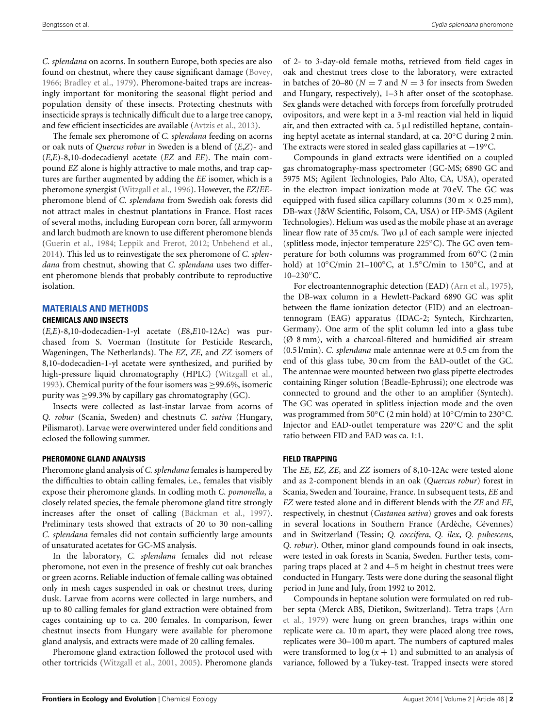*C. splendana* on acorns. In southern Europe, both species are also found on chestnut, where they cause significant damage [\(Bovey](#page-4-4), [1966](#page-4-4); [Bradley et al.](#page-4-5), [1979\)](#page-4-5). Pheromone-baited traps are increasingly important for monitoring the seasonal flight period and population density of these insects. Protecting chestnuts with insecticide sprays is technically difficult due to a large tree canopy, and few efficient insecticides are available [\(Avtzis et al.](#page-4-6), [2013](#page-4-6)).

The female sex pheromone of *C. splendana* feeding on acorns or oak nuts of *Quercus robur* in Sweden is a blend of (*E*,*Z*)- and (*E*,*E*)-8,10-dodecadienyl acetate (*EZ* and *EE*). The main compound *EZ* alone is highly attractive to male moths, and trap captures are further augmented by adding the *EE* isomer, which is a pheromone synergist [\(Witzgall et al., 1996](#page-5-4)). However, the *EZ*/*EE*pheromone blend of *C. splendana* from Swedish oak forests did not attract males in chestnut plantations in France. Host races of several moths, including European corn borer, fall armyworm and larch budmoth are known to use different pheromone blends [\(Guerin et al., 1984;](#page-5-15) [Leppik and Frerot, 2012;](#page-5-16) [Unbehend et al.](#page-5-17), [2014](#page-5-17)). This led us to reinvestigate the sex pheromone of *C. splendana* from chestnut, showing that *C. splendana* uses two different pheromone blends that probably contribute to reproductive isolation.

# **MATERIALS AND METHODS**

#### **CHEMICALS AND INSECTS**

(*E,E*)-8,10-dodecadien-1-yl acetate (*E*8,*E*10-12Ac) was purchased from S. Voerman (Institute for Pesticide Research, Wageningen, The Netherlands). The *EZ*, *ZE*, and *ZZ* isomers of 8,10-dodecadien-1-yl acetate were synthesized, and purified by high-pressure liquid chromatography (HPLC) [\(Witzgall et al.](#page-5-6), [1993](#page-5-6)). Chemical purity of the four isomers was ≥99.6%, isomeric purity was  $\geq$ 99.3% by capillary gas chromatography (GC).

Insects were collected as last-instar larvae from acorns of *Q. robur* (Scania, Sweden) and chestnuts *C. sativa* (Hungary, Pilismarot). Larvae were overwintered under field conditions and eclosed the following summer.

### **PHEROMONE GLAND ANALYSIS**

Pheromone gland analysis of *C. splendana* females is hampered by the difficulties to obtain calling females, i.e., females that visibly expose their pheromone glands. In codling moth *C. pomonella*, a closely related species, the female pheromone gland titre strongly increases after the onset of calling [\(Bäckman et al., 1997](#page-4-7)). Preliminary tests showed that extracts of 20 to 30 non-calling *C. splendana* females did not contain sufficiently large amounts of unsaturated acetates for GC-MS analysis.

In the laboratory, *C. splendana* females did not release pheromone, not even in the presence of freshly cut oak branches or green acorns. Reliable induction of female calling was obtained only in mesh cages suspended in oak or chestnut trees, during dusk. Larvae from acorns were collected in large numbers, and up to 80 calling females for gland extraction were obtained from cages containing up to ca. 200 females. In comparison, fewer chestnut insects from Hungary were available for pheromone gland analysis, and extracts were made of 20 calling females.

Pheromone gland extraction followed the protocol used with other tortricids [\(Witzgall et al., 2001](#page-5-18), [2005\)](#page-5-19). Pheromone glands of 2- to 3-day-old female moths, retrieved from field cages in oak and chestnut trees close to the laboratory, were extracted in batches of 20–80 ( $N = 7$  and  $N = 3$  for insects from Sweden and Hungary, respectively), 1–3 h after onset of the scotophase. Sex glands were detached with forceps from forcefully protruded ovipositors, and were kept in a 3-ml reaction vial held in liquid air, and then extracted with ca.  $5 \mu l$  redistilled heptane, containing heptyl acetate as internal standard, at ca. 20◦C during 2 min. The extracts were stored in sealed glass capillaries at −19◦C.

Compounds in gland extracts were identified on a coupled gas chromatography-mass spectrometer (GC-MS; 6890 GC and 5975 MS; Agilent Technologies, Palo Alto, CA, USA), operated in the electron impact ionization mode at 70 eV. The GC was equipped with fused silica capillary columns (30 m  $\times$  0.25 mm), DB-wax (J&W Scientific, Folsom, CA, USA) or HP-5MS (Agilent Technologies). Helium was used as the mobile phase at an average linear flow rate of 35 cm/s. Two µl of each sample were injected (splitless mode, injector temperature 225◦C). The GC oven temperature for both columns was programmed from 60◦C (2 min hold) at  $10°C/min$  21–100°C, at 1.5°C/min to 150°C, and at  $10-230$ °C.

For electroantennographic detection (EAD) [\(Arn et al.](#page-4-8), [1975\)](#page-4-8), the DB-wax column in a Hewlett-Packard 6890 GC was split between the flame ionization detector (FID) and an electroantennogram (EAG) apparatus (IDAC-2; Syntech, Kirchzarten, Germany). One arm of the split column led into a glass tube (Ø 8 mm), with a charcoal-filtered and humidified air stream (0.5 l/min). *C. splendana* male antennae were at 0.5 cm from the end of this glass tube, 30 cm from the EAD-outlet of the GC. The antennae were mounted between two glass pipette electrodes containing Ringer solution (Beadle-Ephrussi); one electrode was connected to ground and the other to an amplifier (Syntech). The GC was operated in splitless injection mode and the oven was programmed from 50◦C (2 min hold) at 10◦C/min to 230◦C. Injector and EAD-outlet temperature was 220◦C and the split ratio between FID and EAD was ca. 1:1.

### **FIELD TRAPPING**

The *EE*, *EZ*, *ZE*, and *ZZ* isomers of 8,10-12Ac were tested alone and as 2-component blends in an oak (*Quercus robur*) forest in Scania, Sweden and Touraine, France. In subsequent tests, *EE* and *EZ* were tested alone and in different blends with the *ZE* and *EE*, respectively, in chestnut (*Castanea sativa*) groves and oak forests in several locations in Southern France (Ardèche, Cévennes) and in Switzerland (Tessin; *Q. coccifera*, *Q. ilex*, *Q. pubescens*, *Q. robur*). Other, minor gland compounds found in oak insects, were tested in oak forests in Scania, Sweden. Further tests, comparing traps placed at 2 and 4–5 m height in chestnut trees were conducted in Hungary. Tests were done during the seasonal flight period in June and July, from 1992 to 2012.

Compounds in heptane solution were formulated on red rubber s[epta \(Merck ABS, Dietikon, Switzerland\). Tetra traps \(](#page-4-9)Arn et al., [1979](#page-4-9)) were hung on green branches, traps within one replicate were ca. 10 m apart, they were placed along tree rows, replicates were 30–100 m apart. The numbers of captured males were transformed to  $log(x + 1)$  and submitted to an analysis of variance, followed by a Tukey-test. Trapped insects were stored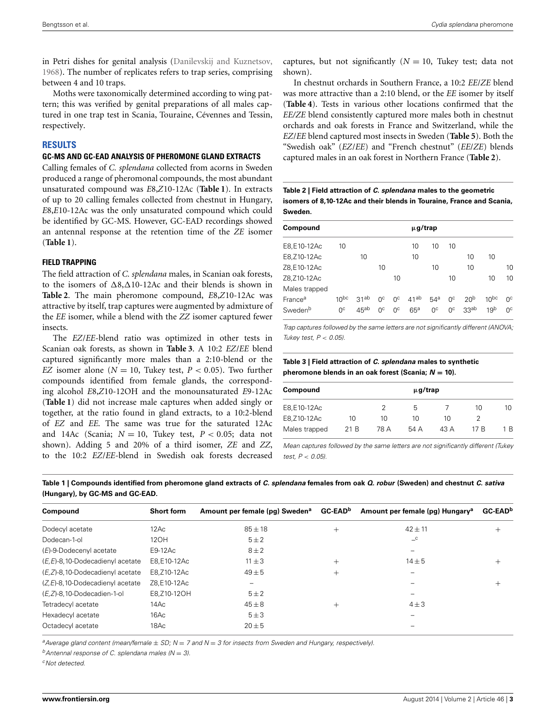in Petri dishes for genital analysis [\(Danilevskij and Kuznetsov,](#page-5-20) [1968](#page-5-20)). The number of replicates refers to trap series, comprising between 4 and 10 traps.

Moths were taxonomically determined according to wing pattern; this was verified by genital preparations of all males captured in one trap test in Scania, Touraine, Cévennes and Tessin, respectively.

# **RESULTS**

### **GC-MS AND GC-EAD ANALYSIS OF PHEROMONE GLAND EXTRACTS**

Calling females of *C. splendana* collected from acorns in Sweden produced a range of pheromonal compounds, the most abundant unsaturated compound was *E*8,*Z*10-12Ac (**[Table 1](#page-2-0)**). In extracts of up to 20 calling females collected from chestnut in Hungary, *E*8,*E*10-12Ac was the only unsaturated compound which could be identified by GC-MS. However, GC-EAD recordings showed an antennal response at the retention time of the *ZE* isomer (**[Table 1](#page-2-0)**).

## **FIELD TRAPPING**

The field attraction of *C. splendana* males, in Scanian oak forests, to the isomers of  $\Delta 8, \Delta 10$ -12Ac and their blends is shown in **[Table 2](#page-2-1)**. The main pheromone compound, *E*8,*Z*10-12Ac was attractive by itself, trap captures were augmented by admixture of the *EE* isomer, while a blend with the *ZZ* isomer captured fewer insects.

The *EZ*/*EE*-blend ratio was optimized in other tests in Scanian oak forests, as shown in **[Table 3](#page-2-2)**. A 10:2 *EZ*/*EE* blend captured significantly more males than a 2:10-blend or the *EZ* isomer alone ( $N = 10$ , Tukey test,  $P < 0.05$ ). Two further compounds identified from female glands, the corresponding alcohol *E*8,*Z*10-12OH and the monounsaturated *E*9-12Ac (**[Table 1](#page-2-0)**) did not increase male captures when added singly or together, at the ratio found in gland extracts, to a 10:2-blend of *EZ* and *EE*. The same was true for the saturated 12Ac and 14Ac (Scania;  $N = 10$ , Tukey test,  $P < 0.05$ ; data not shown). Adding 5 and 20% of a third isomer, *ZE* and *ZZ*, to the 10:2 *EZ*/*EE*-blend in Swedish oak forests decreased

captures, but not significantly  $(N = 10)$ , Tukey test; data not shown).

In chestnut orchards in Southern France, a 10:2 *EE*/*ZE* blend was more attractive than a 2:10 blend, or the *EE* isomer by itself (**[Table 4](#page-3-0)**). Tests in various other locations confirmed that the *EE/ZE* blend consistently captured more males both in chestnut orchards and oak forests in France and Switzerland, while the *EZ*/*EE* blend captured most insects in Sweden (**[Table 5](#page-3-1)**). Both the "Swedish oak" (*EZ*/*EE*) and "French chestnut" (*EE*/*ZE*) blends captured males in an oak forest in Northern France (**[Table 2](#page-2-1)**).

<span id="page-2-1"></span>**Table 2 | Field attraction of** *C. splendana* **males to the geometric isomers of 8,10-12Ac and their blends in Touraine, France and Scania, Sweden.**

| Compound            |                  |                  |                |                | $\mu$ g/trap    |                 |                |                  |                  |            |
|---------------------|------------------|------------------|----------------|----------------|-----------------|-----------------|----------------|------------------|------------------|------------|
| E8, E10-12Ac        | 10               |                  |                |                | 10              | 10              | 10             |                  |                  |            |
| E8, Z10-12Ac        |                  | 10               |                |                | 10              |                 |                | 10               | 10               |            |
| Z8, E10-12Ac        |                  |                  | 10             |                |                 | 10              |                | 10               |                  | 10         |
| Z8,Z10-12Ac         |                  |                  |                | 10             |                 |                 | 10             |                  | 10               | 10         |
| Males trapped       |                  |                  |                |                |                 |                 |                |                  |                  |            |
| France <sup>a</sup> | 10 <sub>pc</sub> | 31 <sup>ab</sup> | 0 <sup>c</sup> | 0 <sup>c</sup> | $41^{ab}$       | 54 <sup>a</sup> | 0 <sup>c</sup> | 20 <sup>b</sup>  | 10 <sub>pc</sub> | ∩°         |
| Sweden <sup>b</sup> | 0 <sup>c</sup>   | $45^{ab}$        | $\Omega^c$     | 0 <sup>c</sup> | 65 <sup>a</sup> | 0 <sup>c</sup>  | 0 <sup>c</sup> | 33 <sup>ab</sup> | 19 <sup>b</sup>  | $^{\circ}$ |

*Trap captures followed by the same letters are not significantly different (ANOVA; Tukey test, P* < *0.05).*

# <span id="page-2-2"></span>**Table 3 | Field attraction of** *C. splendana* **males to synthetic pheromone blends in an oak forest (Scania;** *N* **= 10).**

| Compound      |      | $\mu$ g/trap |      |      |      |     |
|---------------|------|--------------|------|------|------|-----|
| E8, E10-12Ac  |      |              | 5    |      | 10   | 10  |
| E8,Z10-12Ac   | 10   | 10           | 10   | 10   |      |     |
| Males trapped | 21 B | 78 A         | 54 A | 43 A | 17 R | 1 R |

*Mean captures followed by the same letters are not significantly different (Tukey test, P* < *0.05).*

<span id="page-2-0"></span>

| Table 1   Compounds identified from pheromone gland extracts of C. splendana females from oak Q. robur (Sweden) and chestnut C. sativa |  |
|----------------------------------------------------------------------------------------------------------------------------------------|--|
| (Hungary), by GC-MS and GC-EAD.                                                                                                        |  |

| Compound                            | <b>Short form</b> | Amount per female (pg) Sweden <sup>a</sup> | <b>GC-EAD</b> <sup>b</sup> | Amount per female (pg) Hungary <sup>a</sup> | GC-EAD <sup>b</sup> |
|-------------------------------------|-------------------|--------------------------------------------|----------------------------|---------------------------------------------|---------------------|
| Dodecyl acetate                     | 12Ac              | $85 \pm 18$                                | $^{+}$                     | $42 + 11$                                   | $^+$                |
| Dodecan-1-ol                        | 120H              | $5\pm2$                                    |                            | $\overline{\phantom{a}}^{\phantom{a}}$      |                     |
| $(E)$ -9-Dodecenyl acetate          | E9-12Ac           | $8\pm2$                                    |                            |                                             |                     |
| $(E, E)$ -8,10-Dodecadienyl acetate | E8.E10-12Ac       | $11 \pm 3$                                 | $\pm$                      | $14 \pm 5$                                  | $^+$                |
| (E,Z)-8,10-Dodecadienyl acetate     | E8.Z10-12Ac       | $49 \pm 5$                                 | $^{+}$                     |                                             |                     |
| $(Z, E)$ -8,10-Dodecadienyl acetate | Z8.E10-12Ac       | -                                          |                            |                                             | $^+$                |
| $(E.Z)$ -8.10-Dodecadien-1-ol       | E8.Z10-12OH       | $5\pm2$                                    |                            |                                             |                     |
| Tetradecyl acetate                  | 14Ac              | $45 \pm 8$                                 | $^{+}$                     | $4\pm3$                                     |                     |
| Hexadecyl acetate                   | 16Ac              | $5\pm3$                                    |                            |                                             |                     |
| Octadecyl acetate                   | 18Ac              | $20 \pm 5$                                 |                            |                                             |                     |

*aAverage gland content (mean/female* <sup>±</sup> *SD; N* <sup>=</sup> *7 and N* <sup>=</sup> *3 for insects from Sweden and Hungary, respectively).*

*bAntennal response of C. splendana males (N* <sup>=</sup> *3).*

*cNot detected.*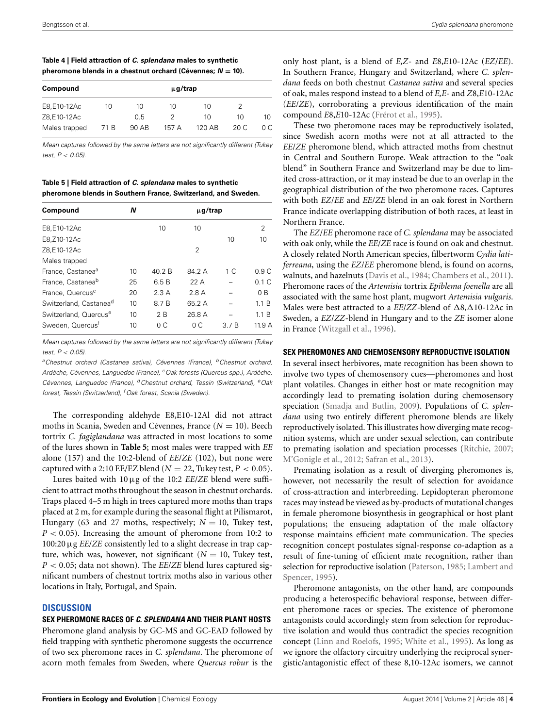<span id="page-3-0"></span>**Table 4 | Field attraction of** *C. splendana* **males to synthetic pheromone blends in a chestnut orchard (Cévennes;** *N* **= 10).**

| Compound      |      |       | $\mu$ g/trap |        |      |     |
|---------------|------|-------|--------------|--------|------|-----|
| E8, E10-12Ac  | 10   | 10    | 10           | 10     | 2    |     |
| Z8.E10-12Ac   |      | 0.5   |              | 10     | 10   | 10  |
| Males trapped | 71 B | 90 AB | 157 A        | 120 AB | 20 C | 0 C |

*Mean captures followed by the same letters are not significantly different (Tukey test, P* < *0.05).*

<span id="page-3-1"></span>**Table 5 | Field attraction of** *C. splendana* **males to synthetic pheromone blends in Southern France, Switzerland, and Sweden.**

| Compound                           | N  | $\mu$ g/trap |        |       |                  |  |
|------------------------------------|----|--------------|--------|-------|------------------|--|
| E8, E10-12Ac                       |    | 10           | 10     |       | 2                |  |
| E8, Z10-12Ac                       |    |              |        | 10    | 10               |  |
| Z8, E10-12Ac                       |    |              | 2      |       |                  |  |
| Males trapped                      |    |              |        |       |                  |  |
| France, Castanea <sup>a</sup>      | 10 | 40.2 B       | 84.2 A | 1 C   | 0.9C             |  |
| France, Castanea <sup>b</sup>      | 25 | 6.5B         | 22A    |       | 0.1 <sub>C</sub> |  |
| France, Quercus <sup>c</sup>       | 20 | 2.3A         | 2.8A   |       | 0B               |  |
| Switzerland, Castanea <sup>d</sup> | 10 | 8.7 B        | 65.2 A |       | 1.1 B            |  |
| Switzerland, Quercus <sup>e</sup>  | 10 | 2 B          | 26.8 A |       | 11 B             |  |
| Sweden, Quercus <sup>f</sup>       | 10 | 0 C          | 0C     | 3 7 B | 11.9A            |  |

*Mean captures followed by the same letters are not significantly different (Tukey test, P* < *0.05).*

*aChestnut orchard (Castanea sativa), Cévennes (France), bChestnut orchard, Ardèche, Cévennes, Languedoc (France), cOak forests (Quercus spp.), Ardèche, Cévennes, Languedoc (France), dChestnut orchard, Tessin (Switzerland), eOak forest, Tessin (Switzerland), <sup>f</sup> Oak forest, Scania (Sweden).*

The corresponding aldehyde E8,E10-12Al did not attract moths in Scania, Sweden and Cévennes, France (*N* = 10). Beech tortrix *C. fagiglandana* was attracted in most locations to some of the lures shown in **[Table 5](#page-3-1)**; most males were trapped with *EE* alone (157) and the 10:2-blend of *EE*/*ZE* (102), but none were captured with a 2:10 EE/EZ blend ( $N = 22$ , Tukey test,  $P < 0.05$ ).

Lures baited with 10µg of the 10:2 *EE*/*ZE* blend were sufficient to attract moths throughout the season in chestnut orchards. Traps placed 4–5 m high in trees captured more moths than traps placed at 2 m, for example during the seasonal flight at Pilismarot, Hungary (63 and 27 moths, respectively;  $N = 10$ , Tukey test, *P* < 0.05). Increasing the amount of pheromone from 10:2 to 100:20µg *EE*/*ZE* consistently led to a slight decrease in trap capture, which was, however, not significant  $(N = 10)$ , Tukey test, *P* < 0.05; data not shown). The *EE*/*ZE* blend lures captured significant numbers of chestnut tortrix moths also in various other locations in Italy, Portugal, and Spain.

# **DISCUSSION**

## **SEX PHEROMONE RACES OF** *C. SPLENDANA* **AND THEIR PLANT HOSTS**

Pheromone gland analysis by GC-MS and GC-EAD followed by field trapping with synthetic pheromone suggests the occurrence of two sex pheromone races in *C. splendana*. The pheromone of acorn moth females from Sweden, where *Quercus robur* is the

only host plant, is a blend of *E,Z*- and *E*8,*E*10-12Ac (*EZ*/*EE*). In Southern France, Hungary and Switzerland, where *C. splendana* feeds on both chestnut *Castanea sativa* and several species of oak, males respond instead to a blend of *E,E*- and *Z*8,*E*10-12Ac (*EE*/*ZE*), corroborating a previous identification of the main compound *E*8,*E*10-12Ac [\(Frérot et al.](#page-5-21), [1995\)](#page-5-21).

These two pheromone races may be reproductively isolated, since Swedish acorn moths were not at all attracted to the *EE*/*ZE* pheromone blend, which attracted moths from chestnut in Central and Southern Europe. Weak attraction to the "oak blend" in Southern France and Switzerland may be due to limited cross-attraction, or it may instead be due to an overlap in the geographical distribution of the two pheromone races. Captures with both *EZ*/*EE* and *EE*/*ZE* blend in an oak forest in Northern France indicate overlapping distribution of both races, at least in Northern France.

The *EZ*/*EE* pheromone race of *C. splendana* may be associated with oak only, while the *EE*/*ZE* race is found on oak and chestnut. A closely related North American species, filbertworm *Cydia latiferreana*, using the *EZ*/*EE* pheromone blend, is found on acorns, walnuts, and hazelnuts [\(Davis et al., 1984](#page-5-22); [Chambers et al.](#page-5-23), [2011\)](#page-5-23). Pheromone races of the *Artemisia* tortrix *Epiblema foenella* are all associated with the same host plant, mugwort *Artemisia vulgaris*. Males were best attracted to a  $E$ *El*/*ZZ*-blend of  $\Delta$ 8, $\Delta$ 10-12Ac in Sweden, a *EZ*/*ZZ*-blend in Hungary and to the *ZE* isomer alone in France [\(Witzgall et al., 1996](#page-5-4)).

## **SEX PHEROMONES AND CHEMOSENSORY REPRODUCTIVE ISOLATION**

In several insect herbivores, mate recognition has been shown to involve two types of chemosensory cues—pheromones and host plant volatiles. Changes in either host or mate recognition may accordingly lead to premating isolation during chemosensory speciation [\(Smadja and Butlin](#page-5-24), [2009](#page-5-24)). Populations of *C. splendana* using two entirely different pheromone blends are likely reproductively isolated. This illustrates how diverging mate recognition systems, which are under sexual selection, can contribute to premating isolation and speciation processes [\(Ritchie](#page-5-25), [2007](#page-5-25); [M'Gonigle et al.](#page-5-26), [2012;](#page-5-26) [Safran et al., 2013\)](#page-5-27).

Premating isolation as a result of diverging pheromones is, however, not necessarily the result of selection for avoidance of cross-attraction and interbreeding. Lepidopteran pheromone races may instead be viewed as by-products of mutational changes in female pheromone biosynthesis in geographical or host plant populations; the ensueing adaptation of the male olfactory response maintains efficient mate communication. The species recognition concept postulates signal-response co-adaption as a result of fine-tuning of efficient mate recognition, rather than selectio[n for reproductive isolation](#page-5-28) [\(Paterson](#page-5-8)[,](#page-5-28) [1985](#page-5-8)[;](#page-5-28) Lambert and Spencer, [1995\)](#page-5-28).

Pheromone antagonists, on the other hand, are compounds producing a heterospecific behavioral response, between different pheromone races or species. The existence of pheromone antagonists could accordingly stem from selection for reproductive isolation and would thus contradict the species recognition concept [\(Linn and Roelofs](#page-5-9), [1995;](#page-5-9) [White et al.](#page-5-29), [1995\)](#page-5-29). As long as we ignore the olfactory circuitry underlying the reciprocal synergistic/antagonistic effect of these 8,10-12Ac isomers, we cannot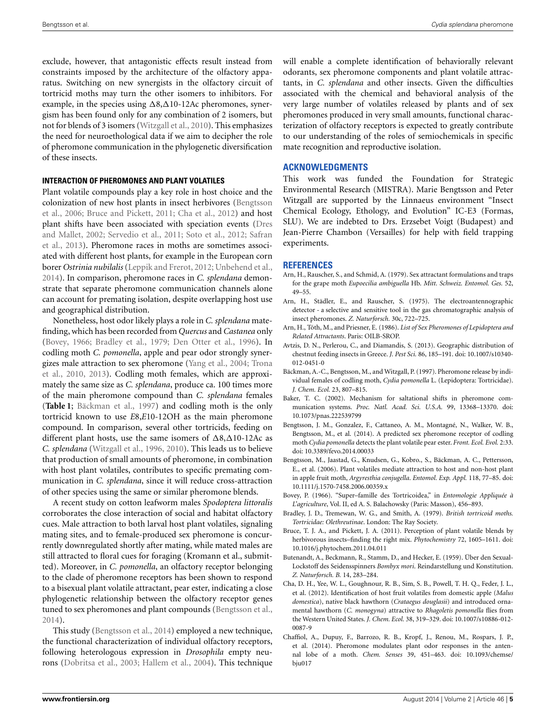exclude, however, that antagonistic effects result instead from constraints imposed by the architecture of the olfactory apparatus. Switching on new synergists in the olfactory circuit of tortricid moths may turn the other isomers to inhibitors. For example, in the species using  $\Delta 8, \Delta 10$ -12Ac pheromones, synergism has been found only for any combination of 2 isomers, but not for blends of 3 isomers [\(Witzgall et al.](#page-5-5), [2010\)](#page-5-5). This emphasizes the need for neuroethological data if we aim to decipher the role of pheromone communication in the phylogenetic diversification of these insects.

#### **INTERACTION OF PHEROMONES AND PLANT VOLATILES**

Plant volatile compounds play a key role in host choice and the colo[nization](#page-4-10) [of](#page-4-10) [new](#page-4-10) [host](#page-4-10) [plants](#page-4-10) [in](#page-4-10) [insect](#page-4-10) [herbivores](#page-4-10) [\(](#page-4-10)Bengtsson et al., [2006;](#page-4-10) [Bruce and Pickett, 2011](#page-4-11); [Cha et al., 2012\)](#page-4-12) and host plant shift[s](#page-5-30) [have](#page-5-30) [been](#page-5-30) [associated](#page-5-30) [with](#page-5-30) [speciation](#page-5-30) [events](#page-5-30) [\(](#page-5-30)Dres and [Mallet,](#page-5-27) [2002](#page-5-30)[;](#page-5-27) [Servedio et al., 2011](#page-5-31)[;](#page-5-27) [Soto et al., 2012](#page-5-32)[;](#page-5-27) Safran et al., [2013](#page-5-27)). Pheromone races in moths are sometimes associated with different host plants, for example in the European corn borer *Ostrinia nubilalis*[\(Leppik and Frerot](#page-5-16), [2012;](#page-5-16) [Unbehend et al.,](#page-5-17) [2014](#page-5-17)). In comparison, pheromone races in *C. splendana* demonstrate that separate pheromone communication channels alone can account for premating isolation, despite overlapping host use and geographical distribution.

Nonetheless, host odor likely plays a role in *C. splendana* matefinding, which has been recorded from *Quercus* and *Castanea* only [\(Bovey, 1966](#page-4-4); [Bradley et al., 1979](#page-4-5); [Den Otter et al.](#page-5-33), [1996\)](#page-5-33). In codling moth *C. pomonella*, apple and pear odor strongly synergizes [male](#page-5-12) [attraction](#page-5-12) [to](#page-5-12) [sex](#page-5-12) [pheromone](#page-5-12) [\(Yang et al.](#page-5-34)[,](#page-5-12) [2004;](#page-5-34) Trona et al., [2010](#page-5-12), [2013\)](#page-5-13). Codling moth females, which are approximately the same size as *C. splendana*, produce ca. 100 times more of the main pheromone compound than *C. splendana* females (**[Table 1](#page-2-0)**; [Bäckman et al., 1997](#page-4-7)) and codling moth is the only tortricid known to use *E*8,*E*10-12OH as the main pheromone compound. In comparison, several other tortricids, feeding on different plant hosts, use the same isomers of  $\Delta 8, \Delta 10$ -12Ac as *C. splendana* [\(Witzgall et al., 1996,](#page-5-4) [2010\)](#page-5-5). This leads us to believe that production of small amounts of pheromone, in combination with host plant volatiles, contributes to specific premating communication in *C. splendana*, since it will reduce cross-attraction of other species using the same or similar pheromone blends.

A recent study on cotton leafworm males *Spodoptera littoralis* corroborates the close interaction of social and habitat olfactory cues. Male attraction to both larval host plant volatiles, signaling mating sites, and to female-produced sex pheromone is concurrently downregulated shortly after mating, while mated males are still attracted to floral cues for foraging (Kromann et al., submitted). Moreover, in *C. pomonella*, an olfactory receptor belonging to the clade of pheromone receptors has been shown to respond to a bisexual plant volatile attractant, pear ester, indicating a close phylogenetic relationship between the olfactory receptor genes tuned to sex pheromones and plant compounds [\(Bengtsson et al.,](#page-4-13) [2014](#page-4-13)).

This study [\(Bengtsson et al., 2014](#page-4-13)) employed a new technique, the functional characterization of individual olfactory receptors, following heterologous expression in *Drosophila* empty neurons [\(Dobritsa et al., 2003](#page-5-35); [Hallem et al.](#page-5-36), [2004\)](#page-5-36). This technique

will enable a complete identification of behaviorally relevant odorants, sex pheromone components and plant volatile attractants, in *C. splendana* and other insects. Given the difficulties associated with the chemical and behavioral analysis of the very large number of volatiles released by plants and of sex pheromones produced in very small amounts, functional characterization of olfactory receptors is expected to greatly contribute to our understanding of the roles of semiochemicals in specific mate recognition and reproductive isolation.

## **ACKNOWLEDGMENTS**

This work was funded the Foundation for Strategic Environmental Research (MISTRA). Marie Bengtsson and Peter Witzgall are supported by the Linnaeus environment "Insect Chemical Ecology, Ethology, and Evolution" IC-E3 (Formas, SLU). We are indebted to Drs. Erzsebet Voigt (Budapest) and Jean-Pierre Chambon (Versailles) for help with field trapping experiments.

#### **REFERENCES**

- <span id="page-4-9"></span>Arn, H., Rauscher, S., and Schmid, A. (1979). Sex attractant formulations and traps for the grape moth *Eupoecilia ambiguella* Hb. *Mitt. Schweiz. Entomol. Ges.* 52, 49–55.
- <span id="page-4-8"></span>Arn, H., Städler, E., and Rauscher, S. (1975). The electroantennographic detector - a selective and sensitive tool in the gas chromatographic analysis of insect pheromones. *Z. Naturforsch.* 30c, 722–725.
- <span id="page-4-1"></span>Arn, H., Tóth, M., and Priesner, E. (1986). *List of Sex Pheromones of Lepidoptera and Related Attractants*. Paris: OILB-SROP.
- <span id="page-4-6"></span>Avtzis, D. N., Perlerou, C., and Diamandis, S. (2013). Geographic distribution of chestnut feeding insects in Greece. *J. Pest Sci.* 86, 185–191. doi: 10.1007/s10340- 012-0451-0
- <span id="page-4-7"></span>Bäckman, A.-C., Bengtsson, M., and Witzgall, P. (1997). Pheromone release by individual females of codling moth, *Cydia pomonella* L. (Lepidoptera: Tortricidae). *J. Chem. Ecol.* 23, 807–815.
- <span id="page-4-2"></span>Baker, T. C. (2002). Mechanism for saltational shifts in pheromone communication systems. *Proc. Natl. Acad. Sci. U.S.A.* 99, 13368–13370. doi: 10.1073/pnas.222539799
- <span id="page-4-13"></span>Bengtsson, J. M., Gonzalez, F., Cattaneo, A. M., Montagné, N., Walker, W. B., Bengtsson, M., et al. (2014). A predicted sex pheromone receptor of codling moth *Cydia pomonella* detects the plant volatile pear ester. *Front. Ecol. Evol.* 2:33. doi: 10.3389/fevo.2014.00033
- <span id="page-4-10"></span>Bengtsson, M., Jaastad, G., Knudsen, G., Kobro., S., Bäckman, A. C., Pettersson, E., et al. (2006). Plant volatiles mediate attraction to host and non-host plant in apple fruit moth, *Argyresthia conjugella*. *Entomol. Exp. Appl.* 118, 77–85. doi: 10.1111/j.1570-7458.2006.00359.x
- <span id="page-4-4"></span>Bovey, P. (1966). "Super–famille des Tortricoidea," in *Entomologie Appliquée à L'agriculture*, Vol. II, ed A. S. Balachowsky (Paris: Masson), 456–893.
- <span id="page-4-5"></span>Bradley, J. D., Tremewan, W. G., and Smith, A. (1979). *British tortricoid moths. Tortricidae: Olethreutinae*. London: The Ray Society.
- <span id="page-4-11"></span>Bruce, T. J. A., and Pickett, J. A. (2011). Perception of plant volatile blends by herbivorous insects–finding the right mix. *Phytochemistry* 72, 1605–1611. doi: 10.1016/j.phytochem.2011.04.011
- <span id="page-4-0"></span>Butenandt, A., Beckmann, R., Stamm, D., and Hecker, E. (1959). Über den Sexual-Lockstoff des Seidensspinners *Bombyx mori*. Reindarstellung und Konstitution. *Z. Naturforsch. B.* 14, 283–284.
- <span id="page-4-12"></span>Cha, D. H., Yee, W. L., Goughnour, R. B., Sim, S. B., Powell, T. H. Q., Feder, J. L., et al. (2012). Identification of host fruit volatiles from domestic apple (*Malus domestica*), native black hawthorn (*Crataegus douglasii*) and introduced ornamental hawthorn (*C. monogyna*) attractive to *Rhagoletis pomonella* flies from the Western United States. *J. Chem. Ecol.* 38, 319–329. doi: 10.1007/s10886-012- 0087-9
- <span id="page-4-3"></span>Chaffiol, A., Dupuy, F., Barrozo, R. B., Kropf, J., Renou, M., Rospars, J. P., et al. (2014). Pheromone modulates plant odor responses in the antennal lobe of a moth. *Chem. Senses* 39, 451–463. doi: 10.1093/chemse/ bju017